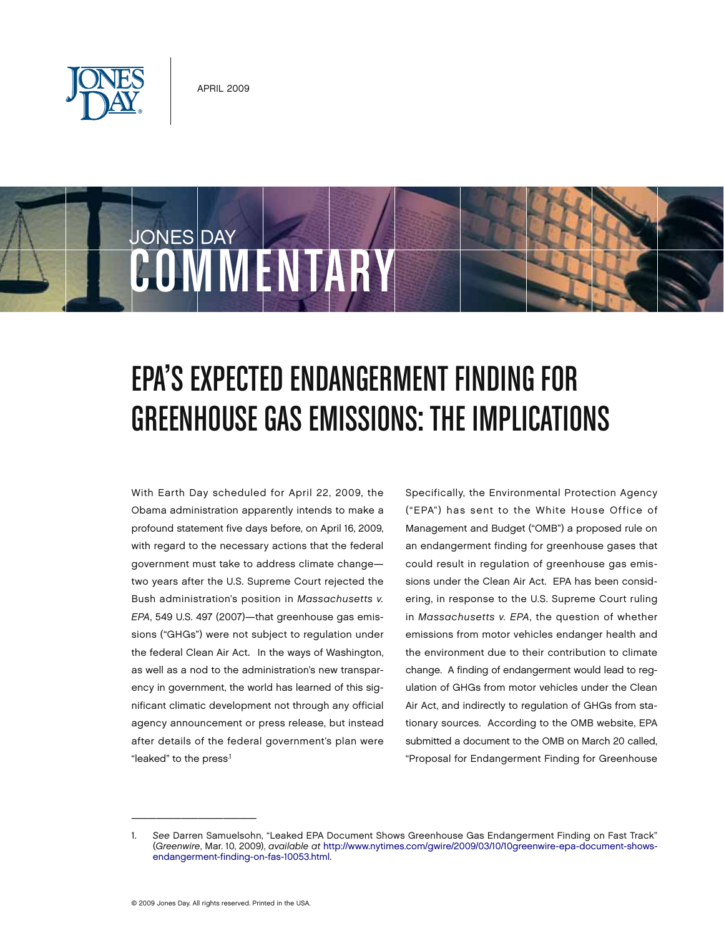

COMMENTAR

JONES DAY



With Earth Day scheduled for April 22, 2009, the Obama administration apparently intends to make a profound statement five days before, on April 16, 2009, with regard to the necessary actions that the federal government must take to address climate change two years after the U.S. Supreme Court rejected the Bush administration's position in *Massachusetts v. EPA*, 549 U.S. 497 (2007)—that greenhouse gas emissions ("GHGs") were not subject to regulation under the federal Clean Air Act. In the ways of Washington, as well as a nod to the administration's new transparency in government, the world has learned of this significant climatic development not through any official agency announcement or press release, but instead after details of the federal government's plan were "leaked" to the press<sup>1</sup>

Specifically, the Environmental Protection Agency ("EPA") has sent to the White House Office of Management and Budget ("OMB") a proposed rule on an endangerment finding for greenhouse gases that could result in regulation of greenhouse gas emissions under the Clean Air Act. EPA has been considering, in response to the U.S. Supreme Court ruling in *Massachusetts v. EPA*, the question of whether emissions from motor vehicles endanger health and the environment due to their contribution to climate change. A finding of endangerment would lead to regulation of GHGs from motor vehicles under the Clean Air Act, and indirectly to regulation of GHGs from stationary sources. According to the OMB website, EPA submitted a document to the OMB on March 20 called, "Proposal for Endangerment Finding for Greenhouse

 $\overline{\phantom{a}}$  , and the set of the set of the set of the set of the set of the set of the set of the set of the set of the set of the set of the set of the set of the set of the set of the set of the set of the set of the s

<sup>1.</sup> *See* Darren Samuelsohn, "Leaked EPA Document Shows Greenhouse Gas Endangerment Finding on Fast Track" (*Greenwire*, Mar. 10, 2009), *available at* [http://www.nytimes.com/gwire/2009/03/10/10greenwire-epa-document-shows](http://www.nytimes.com/gwire/2009/03/10/10greenwire-epa-document-shows-endangerment-finding-on-fas-10053.html)[endangerment-finding-on-fas-10053.html.](http://www.nytimes.com/gwire/2009/03/10/10greenwire-epa-document-shows-endangerment-finding-on-fas-10053.html)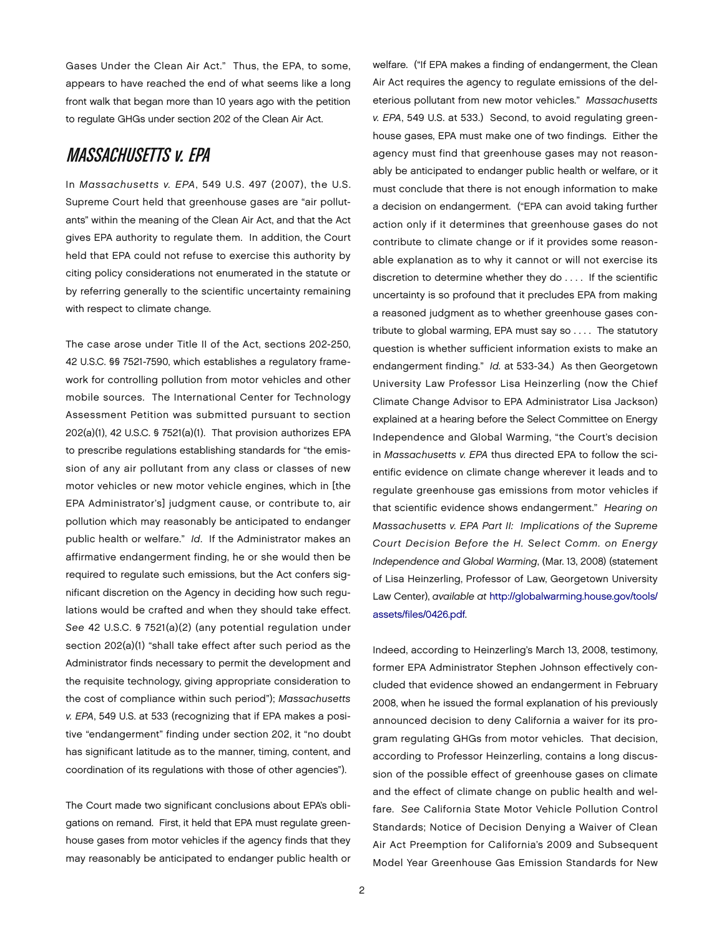Gases Under the Clean Air Act." Thus, the EPA, to some, appears to have reached the end of what seems like a long front walk that began more than 10 years ago with the petition to regulate GHGs under section 202 of the Clean Air Act.

## **MASSACHUSETTS v. EPA**

In *Massachusetts v. EPA*, 549 U.S. 497 (2007), the U.S. Supreme Court held that greenhouse gases are "air pollutants" within the meaning of the Clean Air Act, and that the Act gives EPA authority to regulate them. In addition, the Court held that EPA could not refuse to exercise this authority by citing policy considerations not enumerated in the statute or by referring generally to the scientific uncertainty remaining with respect to climate change.

The case arose under Title II of the Act, sections 202-250, 42 U.S.C. §§ 7521-7590, which establishes a regulatory framework for controlling pollution from motor vehicles and other mobile sources. The International Center for Technology Assessment Petition was submitted pursuant to section 202(a)(1), 42 U.S.C. § 7521(a)(1). That provision authorizes EPA to prescribe regulations establishing standards for "the emission of any air pollutant from any class or classes of new motor vehicles or new motor vehicle engines, which in [the EPA Administrator's] judgment cause, or contribute to, air pollution which may reasonably be anticipated to endanger public health or welfare." *Id*. If the Administrator makes an affirmative endangerment finding, he or she would then be required to regulate such emissions, but the Act confers significant discretion on the Agency in deciding how such regulations would be crafted and when they should take effect. *See* 42 U.S.C. § 7521(a)(2) (any potential regulation under section 202(a)(1) "shall take effect after such period as the Administrator finds necessary to permit the development and the requisite technology, giving appropriate consideration to the cost of compliance within such period"); *Massachusetts v. EPA*, 549 U.S. at 533 (recognizing that if EPA makes a positive "endangerment" finding under section 202, it "no doubt has significant latitude as to the manner, timing, content, and coordination of its regulations with those of other agencies").

The Court made two significant conclusions about EPA's obligations on remand. First, it held that EPA must regulate greenhouse gases from motor vehicles if the agency finds that they may reasonably be anticipated to endanger public health or

welfare. ("If EPA makes a finding of endangerment, the Clean Air Act requires the agency to regulate emissions of the deleterious pollutant from new motor vehicles." *Massachusetts v. EPA*, 549 U.S. at 533.) Second, to avoid regulating greenhouse gases, EPA must make one of two findings. Either the agency must find that greenhouse gases may not reasonably be anticipated to endanger public health or welfare, or it must conclude that there is not enough information to make a decision on endangerment. ("EPA can avoid taking further action only if it determines that greenhouse gases do not contribute to climate change or if it provides some reasonable explanation as to why it cannot or will not exercise its discretion to determine whether they do . . . . If the scientific uncertainty is so profound that it precludes EPA from making a reasoned judgment as to whether greenhouse gases contribute to global warming, EPA must say so . . . . The statutory question is whether sufficient information exists to make an endangerment finding." *Id.* at 533-34.) As then Georgetown University Law Professor Lisa Heinzerling (now the Chief Climate Change Advisor to EPA Administrator Lisa Jackson) explained at a hearing before the Select Committee on Energy Independence and Global Warming, "the Court's decision in *Massachusetts v. EPA* thus directed EPA to follow the scientific evidence on climate change wherever it leads and to regulate greenhouse gas emissions from motor vehicles if that scientific evidence shows endangerment." *Hearing on Massachusetts v. EPA Part II: Implications of the Supreme Court Decision Before the H. Select Comm. on Energy Independence and Global Warming*, (Mar. 13, 2008) (statement of Lisa Heinzerling, Professor of Law, Georgetown University Law Center), *available at* [http://globalwarming.house.gov/tools/](http://globalwarming.house.gov/tools/assets/files/0426.pdf) [assets/files/0426.pdf.](http://globalwarming.house.gov/tools/assets/files/0426.pdf)

Indeed, according to Heinzerling's March 13, 2008, testimony, former EPA Administrator Stephen Johnson effectively concluded that evidence showed an endangerment in February 2008, when he issued the formal explanation of his previously announced decision to deny California a waiver for its program regulating GHGs from motor vehicles. That decision, according to Professor Heinzerling, contains a long discussion of the possible effect of greenhouse gases on climate and the effect of climate change on public health and welfare. *See* California State Motor Vehicle Pollution Control Standards; Notice of Decision Denying a Waiver of Clean Air Act Preemption for California's 2009 and Subsequent Model Year Greenhouse Gas Emission Standards for New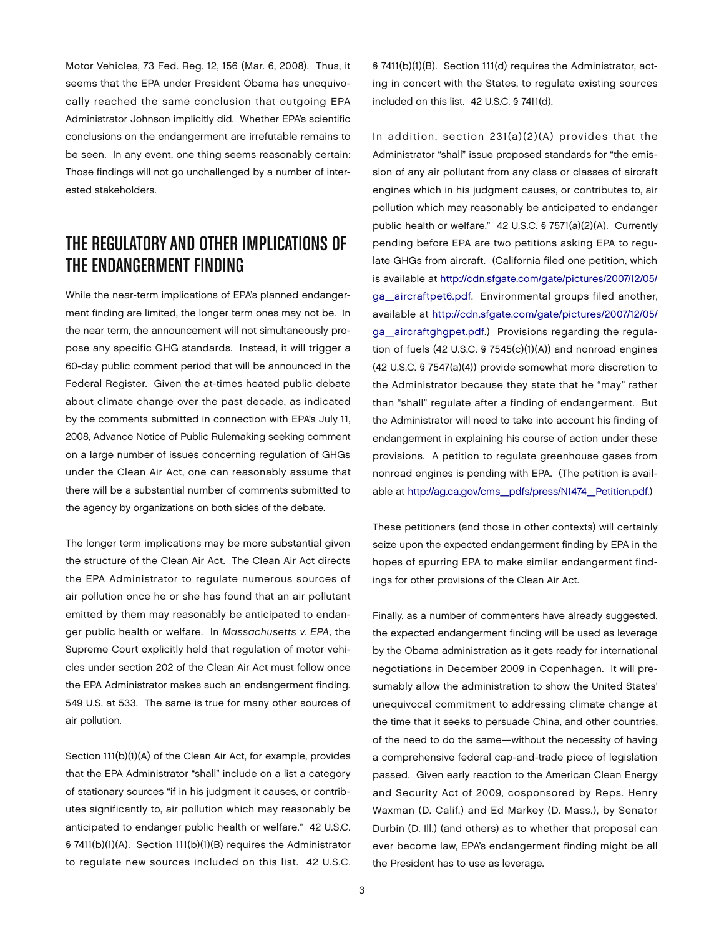Motor Vehicles, 73 Fed. Reg. 12, 156 (Mar. 6, 2008). Thus, it seems that the EPA under President Obama has unequivocally reached the same conclusion that outgoing EPA Administrator Johnson implicitly did. Whether EPA's scientific conclusions on the endangerment are irrefutable remains to be seen. In any event, one thing seems reasonably certain: Those findings will not go unchallenged by a number of interested stakeholders.

## THE REGULATORY AND OTHER IMPLICATIONS OF THE ENDANGERMENT FINDING

While the near-term implications of EPA's planned endangerment finding are limited, the longer term ones may not be. In the near term, the announcement will not simultaneously propose any specific GHG standards. Instead, it will trigger a 60-day public comment period that will be announced in the Federal Register. Given the at-times heated public debate about climate change over the past decade, as indicated by the comments submitted in connection with EPA's July 11, 2008, Advance Notice of Public Rulemaking seeking comment on a large number of issues concerning regulation of GHGs under the Clean Air Act, one can reasonably assume that there will be a substantial number of comments submitted to the agency by organizations on both sides of the debate.

The longer term implications may be more substantial given the structure of the Clean Air Act. The Clean Air Act directs the EPA Administrator to regulate numerous sources of air pollution once he or she has found that an air pollutant emitted by them may reasonably be anticipated to endanger public health or welfare. In *Massachusetts v. EPA*, the Supreme Court explicitly held that regulation of motor vehicles under section 202 of the Clean Air Act must follow once the EPA Administrator makes such an endangerment finding. 549 U.S. at 533. The same is true for many other sources of air pollution.

Section 111(b)(1)(A) of the Clean Air Act, for example, provides that the EPA Administrator "shall" include on a list a category of stationary sources "if in his judgment it causes, or contributes significantly to, air pollution which may reasonably be anticipated to endanger public health or welfare." 42 U.S.C. § 7411(b)(1)(A). Section 111(b)(1)(B) requires the Administrator to regulate new sources included on this list. 42 U.S.C.

§ 7411(b)(1)(B). Section 111(d) requires the Administrator, acting in concert with the States, to regulate existing sources included on this list. 42 U.S.C. § 7411(d).

In addition, section 231(a)(2)(A) provides that the Administrator "shall" issue proposed standards for "the emission of any air pollutant from any class or classes of aircraft engines which in his judgment causes, or contributes to, air pollution which may reasonably be anticipated to endanger public health or welfare." 42 U.S.C. § 7571(a)(2)(A). Currently pending before EPA are two petitions asking EPA to regulate GHGs from aircraft. (California filed one petition, which is available at [http://cdn.sfgate.com/gate/pictures/2007/12/05/](http://cdn.sfgate.com/gate/pictures/2007/12/05/ga_aircraftpet6.pdf) [ga\\_aircraftpet6.pdf.](http://cdn.sfgate.com/gate/pictures/2007/12/05/ga_aircraftpet6.pdf) Environmental groups filed another, available at [http://cdn.sfgate.com/gate/pictures/2007/12/05/](http://cdn.sfgate.com/gate/pictures/2007/12/05/ga_aircraftghgpet.pdf) [ga\\_aircraftghgpet.pdf.\)](http://cdn.sfgate.com/gate/pictures/2007/12/05/ga_aircraftghgpet.pdf) Provisions regarding the regulation of fuels (42 U.S.C. § 7545(c)(1)(A)) and nonroad engines (42 U.S.C. § 7547(a)(4)) provide somewhat more discretion to the Administrator because they state that he "may" rather than "shall" regulate after a finding of endangerment. But the Administrator will need to take into account his finding of endangerment in explaining his course of action under these provisions. A petition to regulate greenhouse gases from nonroad engines is pending with EPA. (The petition is available at [http://ag.ca.gov/cms\\_pdfs/press/N1474\\_Petition.pdf.\)](http://ag.ca.gov/cms_pdfs/press/N1474_Petition.pdf)

These petitioners (and those in other contexts) will certainly seize upon the expected endangerment finding by EPA in the hopes of spurring EPA to make similar endangerment findings for other provisions of the Clean Air Act.

Finally, as a number of commenters have already suggested, the expected endangerment finding will be used as leverage by the Obama administration as it gets ready for international negotiations in December 2009 in Copenhagen. It will presumably allow the administration to show the United States' unequivocal commitment to addressing climate change at the time that it seeks to persuade China, and other countries, of the need to do the same—without the necessity of having a comprehensive federal cap-and-trade piece of legislation passed. Given early reaction to the American Clean Energy and Security Act of 2009, cosponsored by Reps. Henry Waxman (D. Calif.) and Ed Markey (D. Mass.), by Senator Durbin (D. Ill.) (and others) as to whether that proposal can ever become law, EPA's endangerment finding might be all the President has to use as leverage.